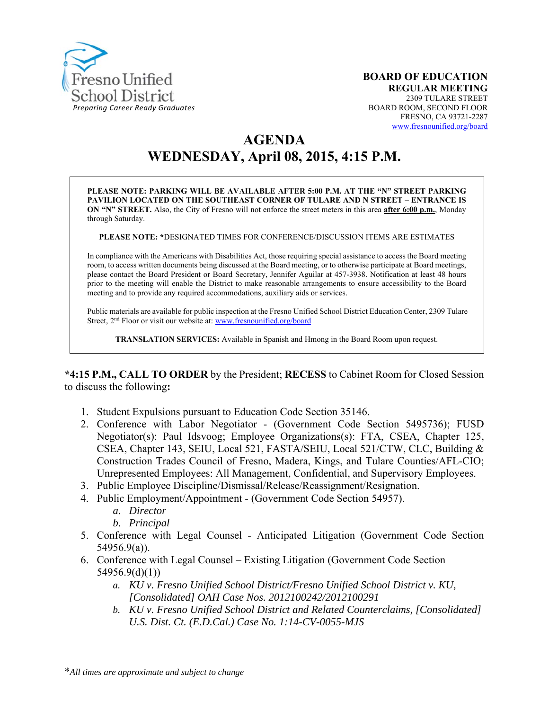

# **AGENDA WEDNESDAY, April 08, 2015, 4:15 P.M.**

**PLEASE NOTE: PARKING WILL BE AVAILABLE AFTER 5:00 P.M. AT THE "N" STREET PARKING PAVILION LOCATED ON THE SOUTHEAST CORNER OF TULARE AND N STREET – ENTRANCE IS ON "N" STREET.** Also, the City of Fresno will not enforce the street meters in this area **after 6:00 p.m.**, Monday through Saturday.

**PLEASE NOTE: \***DESIGNATED TIMES FOR CONFERENCE/DISCUSSION ITEMS ARE ESTIMATES

In compliance with the Americans with Disabilities Act, those requiring special assistance to access the Board meeting room, to access written documents being discussed at the Board meeting, or to otherwise participate at Board meetings, please contact the Board President or Board Secretary, Jennifer Aguilar at 457-3938. Notification at least 48 hours prior to the meeting will enable the District to make reasonable arrangements to ensure accessibility to the Board meeting and to provide any required accommodations, auxiliary aids or services.

Public materials are available for public inspection at the Fresno Unified School District Education Center, 2309 Tulare Street, 2<sup>nd</sup> Floor or visit our website at: www.fresnounified.org/board

**TRANSLATION SERVICES:** Available in Spanish and Hmong in the Board Room upon request.

**\*4:15 P.M., CALL TO ORDER** by the President; **RECESS** to Cabinet Room for Closed Session to discuss the following**:** 

- 1. Student Expulsions pursuant to Education Code Section 35146.
- 2. Conference with Labor Negotiator (Government Code Section 5495736); FUSD Negotiator(s): Paul Idsvoog; Employee Organizations(s): FTA, CSEA, Chapter 125, CSEA, Chapter 143, SEIU, Local 521, FASTA/SEIU, Local 521/CTW, CLC, Building & Construction Trades Council of Fresno, Madera, Kings, and Tulare Counties/AFL-CIO; Unrepresented Employees: All Management, Confidential, and Supervisory Employees.
- 3. Public Employee Discipline/Dismissal/Release/Reassignment/Resignation.
- 4. Public Employment/Appointment (Government Code Section 54957).
	- *a. Director*
	- *b. Principal*
- 5. Conference with Legal Counsel Anticipated Litigation (Government Code Section 54956.9(a)).
- 6. Conference with Legal Counsel Existing Litigation (Government Code Section 54956.9(d)(1))
	- *a. KU v. Fresno Unified School District/Fresno Unified School District v. KU, [Consolidated] OAH Case Nos. 2012100242/2012100291*
	- *b. KU v. Fresno Unified School District and Related Counterclaims, [Consolidated] U.S. Dist. Ct. (E.D.Cal.) Case No. 1:14-CV-0055-MJS*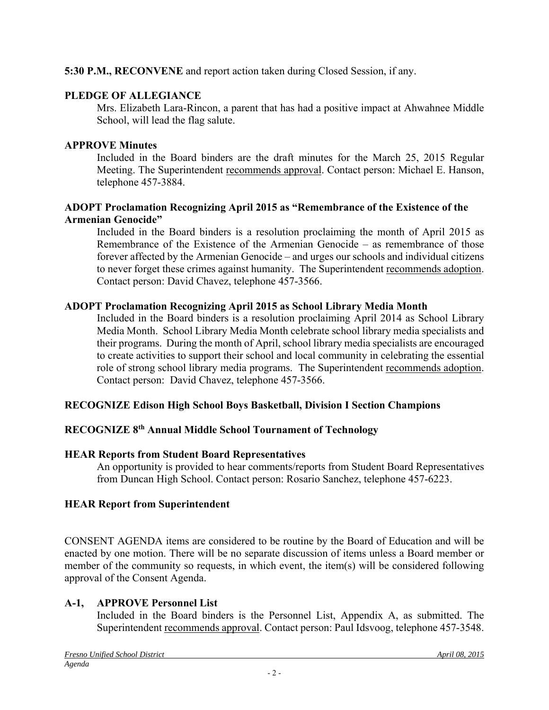### **5:30 P.M., RECONVENE** and report action taken during Closed Session, if any.

### **PLEDGE OF ALLEGIANCE**

Mrs. Elizabeth Lara-Rincon, a parent that has had a positive impact at Ahwahnee Middle School, will lead the flag salute.

### **APPROVE Minutes**

Included in the Board binders are the draft minutes for the March 25, 2015 Regular Meeting. The Superintendent recommends approval. Contact person: Michael E. Hanson, telephone 457-3884.

### **ADOPT Proclamation Recognizing April 2015 as "Remembrance of the Existence of the Armenian Genocide"**

Included in the Board binders is a resolution proclaiming the month of April 2015 as Remembrance of the Existence of the Armenian Genocide – as remembrance of those forever affected by the Armenian Genocide – and urges our schools and individual citizens to never forget these crimes against humanity. The Superintendent recommends adoption. Contact person: David Chavez, telephone 457-3566.

### **ADOPT Proclamation Recognizing April 2015 as School Library Media Month**

Included in the Board binders is a resolution proclaiming April 2014 as School Library Media Month. School Library Media Month celebrate school library media specialists and their programs. During the month of April, school library media specialists are encouraged to create activities to support their school and local community in celebrating the essential role of strong school library media programs. The Superintendent recommends adoption. Contact person: David Chavez, telephone 457-3566.

# **RECOGNIZE Edison High School Boys Basketball, Division I Section Champions**

# **RECOGNIZE 8th Annual Middle School Tournament of Technology**

# **HEAR Reports from Student Board Representatives**

An opportunity is provided to hear comments/reports from Student Board Representatives from Duncan High School. Contact person: Rosario Sanchez, telephone 457-6223.

# **HEAR Report from Superintendent**

CONSENT AGENDA items are considered to be routine by the Board of Education and will be enacted by one motion. There will be no separate discussion of items unless a Board member or member of the community so requests, in which event, the item(s) will be considered following approval of the Consent Agenda.

# **A-1, APPROVE Personnel List**

Included in the Board binders is the Personnel List, Appendix A, as submitted. The Superintendent recommends approval. Contact person: Paul Idsvoog, telephone 457-3548.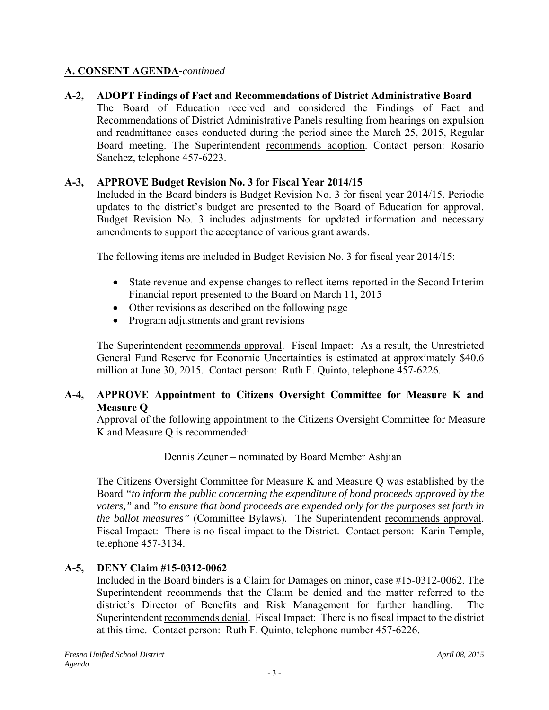### **A. CONSENT AGENDA**-*continued*

# **A-2, ADOPT Findings of Fact and Recommendations of District Administrative Board**

The Board of Education received and considered the Findings of Fact and Recommendations of District Administrative Panels resulting from hearings on expulsion and readmittance cases conducted during the period since the March 25, 2015, Regular Board meeting. The Superintendent recommends adoption. Contact person: Rosario Sanchez, telephone 457-6223.

### **A-3, APPROVE Budget Revision No. 3 for Fiscal Year 2014/15**

Included in the Board binders is Budget Revision No. 3 for fiscal year 2014/15. Periodic updates to the district's budget are presented to the Board of Education for approval. Budget Revision No. 3 includes adjustments for updated information and necessary amendments to support the acceptance of various grant awards.

The following items are included in Budget Revision No. 3 for fiscal year 2014/15:

- State revenue and expense changes to reflect items reported in the Second Interim Financial report presented to the Board on March 11, 2015
- Other revisions as described on the following page
- Program adjustments and grant revisions

The Superintendent recommends approval. Fiscal Impact: As a result, the Unrestricted General Fund Reserve for Economic Uncertainties is estimated at approximately \$40.6 million at June 30, 2015. Contact person: Ruth F. Quinto, telephone 457-6226.

### **A-4, APPROVE Appointment to Citizens Oversight Committee for Measure K and Measure Q**

Approval of the following appointment to the Citizens Oversight Committee for Measure K and Measure Q is recommended:

Dennis Zeuner – nominated by Board Member Ashjian

The Citizens Oversight Committee for Measure K and Measure Q was established by the Board *"to inform the public concerning the expenditure of bond proceeds approved by the voters,"* and *"to ensure that bond proceeds are expended only for the purposes set forth in the ballot measures"* (Committee Bylaws)*.* The Superintendent recommends approval. Fiscal Impact: There is no fiscal impact to the District. Contact person: Karin Temple, telephone 457-3134.

# **A-5, DENY Claim #15-0312-0062**

Included in the Board binders is a Claim for Damages on minor, case #15-0312-0062. The Superintendent recommends that the Claim be denied and the matter referred to the district's Director of Benefits and Risk Management for further handling. The Superintendent recommends denial. Fiscal Impact: There is no fiscal impact to the district at this time. Contact person: Ruth F. Quinto, telephone number 457-6226.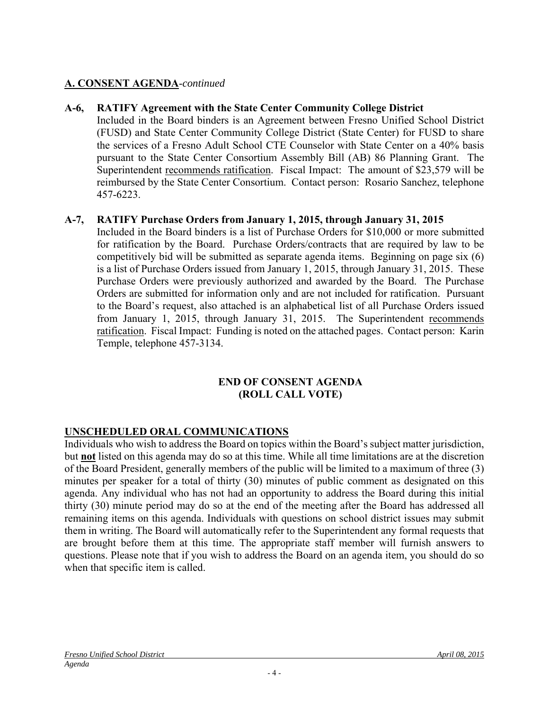### **A. CONSENT AGENDA**-*continued*

#### **A-6, RATIFY Agreement with the State Center Community College District**

Included in the Board binders is an Agreement between Fresno Unified School District (FUSD) and State Center Community College District (State Center) for FUSD to share the services of a Fresno Adult School CTE Counselor with State Center on a 40% basis pursuant to the State Center Consortium Assembly Bill (AB) 86 Planning Grant. The Superintendent recommends ratification. Fiscal Impact: The amount of \$23,579 will be reimbursed by the State Center Consortium. Contact person: Rosario Sanchez, telephone 457-6223.

### **A-7, RATIFY Purchase Orders from January 1, 2015, through January 31, 2015**

Included in the Board binders is a list of Purchase Orders for \$10,000 or more submitted for ratification by the Board. Purchase Orders/contracts that are required by law to be competitively bid will be submitted as separate agenda items. Beginning on page six (6) is a list of Purchase Orders issued from January 1, 2015, through January 31, 2015. These Purchase Orders were previously authorized and awarded by the Board. The Purchase Orders are submitted for information only and are not included for ratification. Pursuant to the Board's request, also attached is an alphabetical list of all Purchase Orders issued from January 1, 2015, through January 31, 2015. The Superintendent recommends ratification. Fiscal Impact: Funding is noted on the attached pages. Contact person: Karin Temple, telephone 457-3134.

#### **END OF CONSENT AGENDA (ROLL CALL VOTE)**

### **UNSCHEDULED ORAL COMMUNICATIONS**

Individuals who wish to address the Board on topics within the Board's subject matter jurisdiction, but **not** listed on this agenda may do so at this time. While all time limitations are at the discretion of the Board President, generally members of the public will be limited to a maximum of three (3) minutes per speaker for a total of thirty (30) minutes of public comment as designated on this agenda. Any individual who has not had an opportunity to address the Board during this initial thirty (30) minute period may do so at the end of the meeting after the Board has addressed all remaining items on this agenda. Individuals with questions on school district issues may submit them in writing. The Board will automatically refer to the Superintendent any formal requests that are brought before them at this time. The appropriate staff member will furnish answers to questions. Please note that if you wish to address the Board on an agenda item, you should do so when that specific item is called.